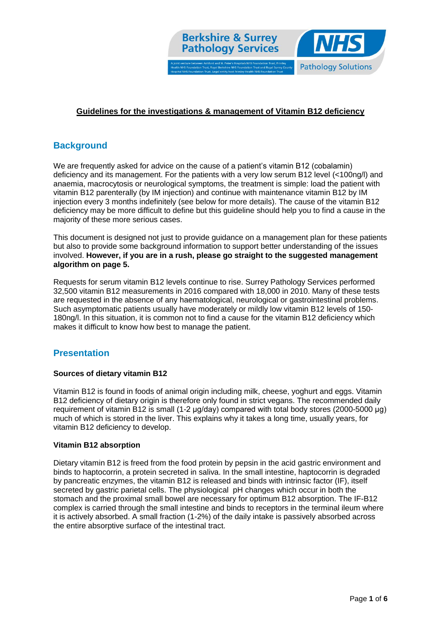

## **Guidelines for the investigations & management of Vitamin B12 deficiency**

# **Background**

We are frequently asked for advice on the cause of a patient's vitamin B12 (cobalamin) deficiency and its management. For the patients with a very low serum B12 level (<100ng/l) and anaemia, macrocytosis or neurological symptoms, the treatment is simple: load the patient with vitamin B12 parenterally (by IM injection) and continue with maintenance vitamin B12 by IM injection every 3 months indefinitely (see below for more details). The cause of the vitamin B12 deficiency may be more difficult to define but this guideline should help you to find a cause in the majority of these more serious cases.

This document is designed not just to provide guidance on a management plan for these patients but also to provide some background information to support better understanding of the issues involved. **However, if you are in a rush, please go straight to the suggested management algorithm on page 5.**

Requests for serum vitamin B12 levels continue to rise. Surrey Pathology Services performed 32,500 vitamin B12 measurements in 2016 compared with 18,000 in 2010. Many of these tests are requested in the absence of any haematological, neurological or gastrointestinal problems. Such asymptomatic patients usually have moderately or mildly low vitamin B12 levels of 150- 180ng/l. In this situation, it is common not to find a cause for the vitamin B12 deficiency which makes it difficult to know how best to manage the patient.

# **Presentation**

#### **Sources of dietary vitamin B12**

Vitamin B12 is found in foods of animal origin including milk, cheese, yoghurt and eggs. Vitamin B12 deficiency of dietary origin is therefore only found in strict vegans. The recommended daily requirement of vitamin B12 is small (1-2 μg/day) compared with total body stores (2000-5000 μg) much of which is stored in the liver. This explains why it takes a long time, usually years, for vitamin B12 deficiency to develop.

#### **Vitamin B12 absorption**

Dietary vitamin B12 is freed from the food protein by pepsin in the acid gastric environment and binds to haptocorrin, a protein secreted in saliva. In the small intestine, haptocorrin is degraded by pancreatic enzymes, the vitamin B12 is released and binds with intrinsic factor (IF), itself secreted by gastric parietal cells. The physiological pH changes which occur in both the stomach and the proximal small bowel are necessary for optimum B12 absorption. The IF-B12 complex is carried through the small intestine and binds to receptors in the terminal ileum where it is actively absorbed. A small fraction (1-2%) of the daily intake is passively absorbed across the entire absorptive surface of the intestinal tract.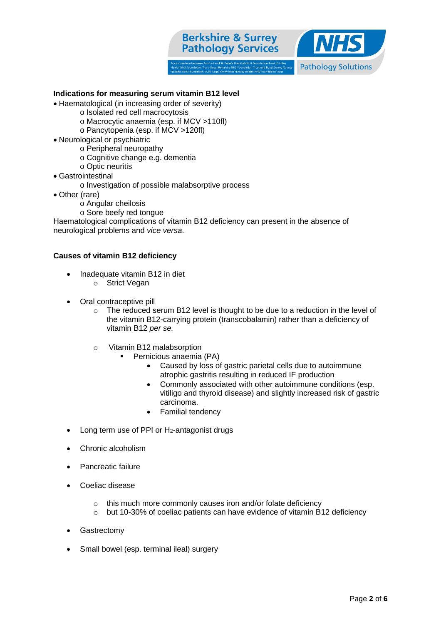



## **Indications for measuring serum vitamin B12 level**

- Haematological (in increasing order of severity)
	- o Isolated red cell macrocytosis
		- o Macrocytic anaemia (esp. if MCV >110fl)
		- o Pancytopenia (esp. if MCV >120fl)
- Neurological or psychiatric
	- o Peripheral neuropathy
	- o Cognitive change e.g. dementia
	- o Optic neuritis
- Gastrointestinal
	- o Investigation of possible malabsorptive process
- Other (rare)
	- o Angular cheilosis
	- o Sore beefy red tongue

Haematological complications of vitamin B12 deficiency can present in the absence of neurological problems and *vice versa*.

### **Causes of vitamin B12 deficiency**

- Inadequate vitamin B12 in diet
	- o Strict Vegan
- Oral contraceptive pill
	- $\circ$  The reduced serum B12 level is thought to be due to a reduction in the level of the vitamin B12-carrying protein (transcobalamin) rather than a deficiency of vitamin B12 *per se.*
	- o Vitamin B12 malabsorption
		- Pernicious anaemia (PA)
			- Caused by loss of gastric parietal cells due to autoimmune atrophic gastritis resulting in reduced IF production
			- Commonly associated with other autoimmune conditions (esp. vitiligo and thyroid disease) and slightly increased risk of gastric carcinoma.
			- Familial tendency
- Long term use of PPI or H2-antagonist drugs
- Chronic alcoholism
- Pancreatic failure
- Coeliac disease
	- o this much more commonly causes iron and/or folate deficiency
	- o but 10-30% of coeliac patients can have evidence of vitamin B12 deficiency
- Gastrectomy
- Small bowel (esp. terminal ileal) surgery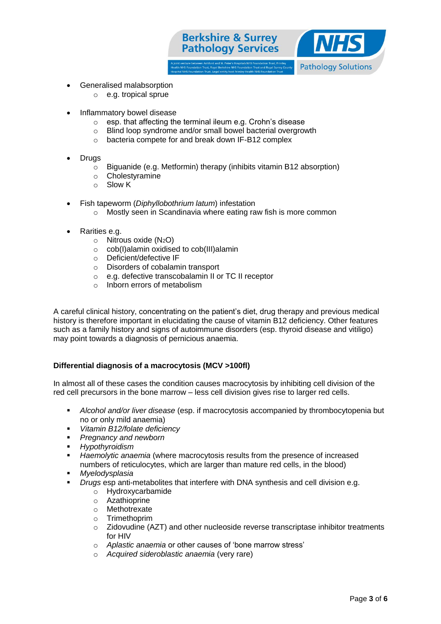

- Generalised malabsorption
	- o e.g. tropical sprue
- Inflammatory bowel disease
	- o esp. that affecting the terminal ileum e.g. Crohn's disease
	- Blind loop syndrome and/or small bowel bacterial overgrowth
	- o bacteria compete for and break down IF-B12 complex
- Drugs
	- o Biguanide (e.g. Metformin) therapy (inhibits vitamin B12 absorption)
	- o Cholestyramine
	- o Slow K
- Fish tapeworm (*Diphyllobothrium latum*) infestation
	- o Mostly seen in Scandinavia where eating raw fish is more common
- Rarities e.g.
	- $\circ$  Nitrous oxide (N<sub>2</sub>O)
	- o cob(I)alamin oxidised to cob(III)alamin
	- o Deficient/defective IF
	- o Disorders of cobalamin transport
	- o e.g. defective transcobalamin II or TC II receptor
	- o Inborn errors of metabolism

A careful clinical history, concentrating on the patient's diet, drug therapy and previous medical history is therefore important in elucidating the cause of vitamin B12 deficiency. Other features such as a family history and signs of autoimmune disorders (esp. thyroid disease and vitiligo) may point towards a diagnosis of pernicious anaemia.

#### **Differential diagnosis of a macrocytosis (MCV >100fl)**

In almost all of these cases the condition causes macrocytosis by inhibiting cell division of the red cell precursors in the bone marrow – less cell division gives rise to larger red cells.

- *Alcohol and/or liver disease* (esp. if macrocytosis accompanied by thrombocytopenia but no or only mild anaemia)
- *Vitamin B12/folate deficiency*
- *Pregnancy and newborn*
- *Hypothyroidism*
- *Haemolytic anaemia* (where macrocytosis results from the presence of increased numbers of reticulocytes, which are larger than mature red cells, in the blood)
- *Myelodysplasia*
- *Drugs* esp anti-metabolites that interfere with DNA synthesis and cell division e.g.
	- o Hydroxycarbamide
	- o Azathioprine
	- o Methotrexate
	- o Trimethoprim
	- $\circ$  Zidovudine (AZT) and other nucleoside reverse transcriptase inhibitor treatments for HIV
	- o *Aplastic anaemia* or other causes of 'bone marrow stress'
	- o *Acquired sideroblastic anaemia* (very rare)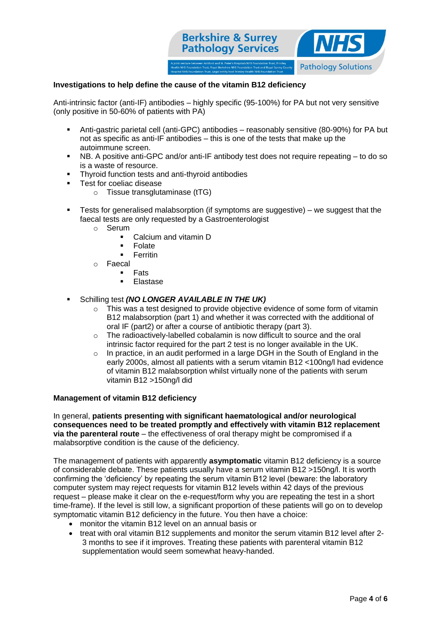

### **Investigations to help define the cause of the vitamin B12 deficiency**

Anti-intrinsic factor (anti-IF) antibodies – highly specific (95-100%) for PA but not very sensitive (only positive in 50-60% of patients with PA)

- Anti-gastric parietal cell (anti-GPC) antibodies reasonably sensitive (80-90%) for PA but not as specific as anti-IF antibodies – this is one of the tests that make up the autoimmune screen.
- NB. A positive anti-GPC and/or anti-IF antibody test does not require repeating to do so is a waste of resource.
- Thyroid function tests and anti-thyroid antibodies
- **Test for coeliac disease** 
	- o Tissue transglutaminase (tTG)
- Tests for generalised malabsorption (if symptoms are suggestive) we suggest that the faecal tests are only requested by a Gastroenterologist
	- o Serum
		- Calcium and vitamin D
		- **Folate**
		- **Ferritin**
	- o Faecal
		- Fats
		- Elastase
- Schilling test *(NO LONGER AVAILABLE IN THE UK)*
	- $\circ$  This was a test designed to provide objective evidence of some form of vitamin B12 malabsorption (part 1) and whether it was corrected with the additional of oral IF (part2) or after a course of antibiotic therapy (part 3).
	- o The radioactively-labelled cobalamin is now difficult to source and the oral intrinsic factor required for the part 2 test is no longer available in the UK.
	- $\circ$  In practice, in an audit performed in a large DGH in the South of England in the early 2000s, almost all patients with a serum vitamin B12 <100ng/l had evidence of vitamin B12 malabsorption whilst virtually none of the patients with serum vitamin B12 >150ng/l did

#### **Management of vitamin B12 deficiency**

In general, **patients presenting with significant haematological and/or neurological consequences need to be treated promptly and effectively with vitamin B12 replacement via the parenteral route** – the effectiveness of oral therapy might be compromised if a malabsorptive condition is the cause of the deficiency.

The management of patients with apparently **asymptomatic** vitamin B12 deficiency is a source of considerable debate. These patients usually have a serum vitamin B12 >150ng/l. It is worth confirming the 'deficiency' by repeating the serum vitamin B12 level (beware: the laboratory computer system may reject requests for vitamin B12 levels within 42 days of the previous request – please make it clear on the e-request/form why you are repeating the test in a short time-frame). If the level is still low, a significant proportion of these patients will go on to develop symptomatic vitamin B12 deficiency in the future. You then have a choice:

- monitor the vitamin B12 level on an annual basis or
- treat with oral vitamin B12 supplements and monitor the serum vitamin B12 level after 2-3 months to see if it improves. Treating these patients with parenteral vitamin B12 supplementation would seem somewhat heavy-handed.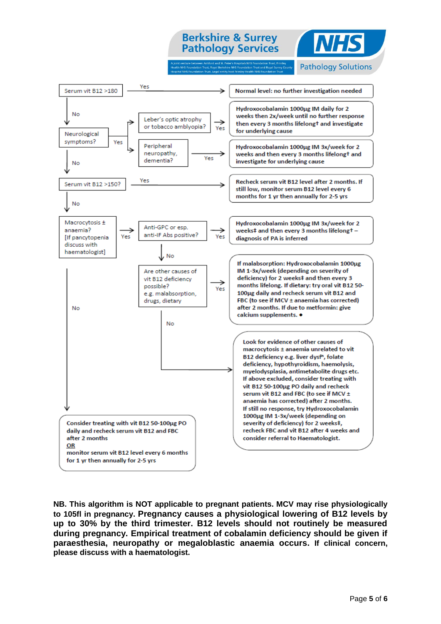# **Berkshire & Surrey Pathology Services**



**Pathology Solutions** 



**NB. This algorithm is NOT applicable to pregnant patients. MCV may rise physiologically to 105fl in pregnancy. Pregnancy causes a physiological lowering of B12 levels by up to 30% by the third trimester. B12 levels should not routinely be measured during pregnancy. Empirical treatment of cobalamin deficiency should be given if paraesthesia, neuropathy or megaloblastic anaemia occurs. If clinical concern, please discuss with a haematologist.**